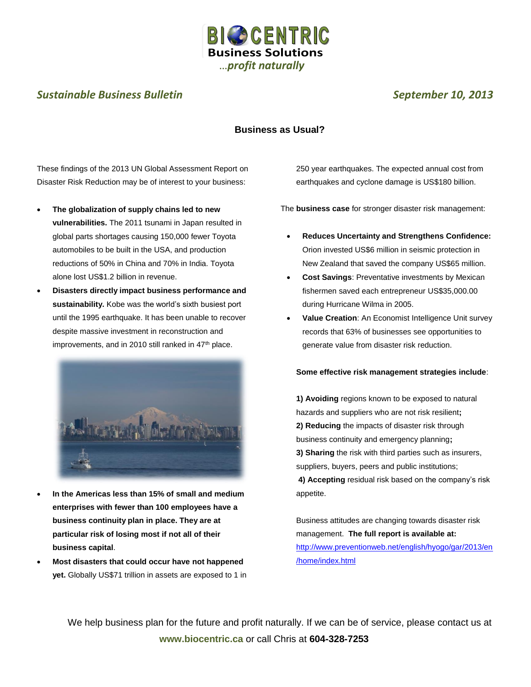

# **Sustainable Business Bulletin** Sustainable Business Bulletin September 10, 2013

## **Business as Usual?**

These findings of the 2013 UN Global Assessment Report on Disaster Risk Reduction may be of interest to your business:

- **The globalization of supply chains led to new vulnerabilities.** The 2011 tsunami in Japan resulted in global parts shortages causing 150,000 fewer Toyota automobiles to be built in the USA, and production reductions of 50% in China and 70% in India. Toyota alone lost US\$1.2 billion in revenue.
- **Disasters directly impact business performance and sustainability.** Kobe was the world's sixth busiest port until the 1995 earthquake. It has been unable to recover despite massive investment in reconstruction and improvements, and in 2010 still ranked in  $47<sup>th</sup>$  place.



- **In the Americas less than 15% of small and medium enterprises with fewer than 100 employees have a business continuity plan in place. They are at particular risk of losing most if not all of their business capital**.
- **Most disasters that could occur have not happened yet.** Globally US\$71 trillion in assets are exposed to 1 in

250 year earthquakes. The expected annual cost from earthquakes and cyclone damage is US\$180 billion.

The **business case** for stronger disaster risk management:

- **Reduces Uncertainty and Strengthens Confidence:** Orion invested US\$6 million in seismic protection in New Zealand that saved the company US\$65 million.
- **Cost Savings**: Preventative investments by Mexican fishermen saved each entrepreneur US\$35,000.00 during Hurricane Wilma in 2005.
- **Value Creation**: An Economist Intelligence Unit survey records that 63% of businesses see opportunities to generate value from disaster risk reduction.

#### **Some effective risk management strategies include**:

**1) Avoiding** regions known to be exposed to natural hazards and suppliers who are not risk resilient**; 2) Reducing** the impacts of disaster risk through business continuity and emergency planning**; 3) Sharing** the risk with third parties such as insurers, suppliers, buyers, peers and public institutions;

**4) Accepting** residual risk based on the company's risk appetite.

Business attitudes are changing towards disaster risk management. **The full report is available at:** [http://www.preventionweb.net/english/hyogo/gar/2013/en](http://www.preventionweb.net/english/hyogo/gar/2013/en/home/index.html) [/home/index.html](http://www.preventionweb.net/english/hyogo/gar/2013/en/home/index.html)

We help business plan for the future and profit naturally. If we can be of service, please contact us at **www.biocentric.ca** or call Chris at **604-328-7253**